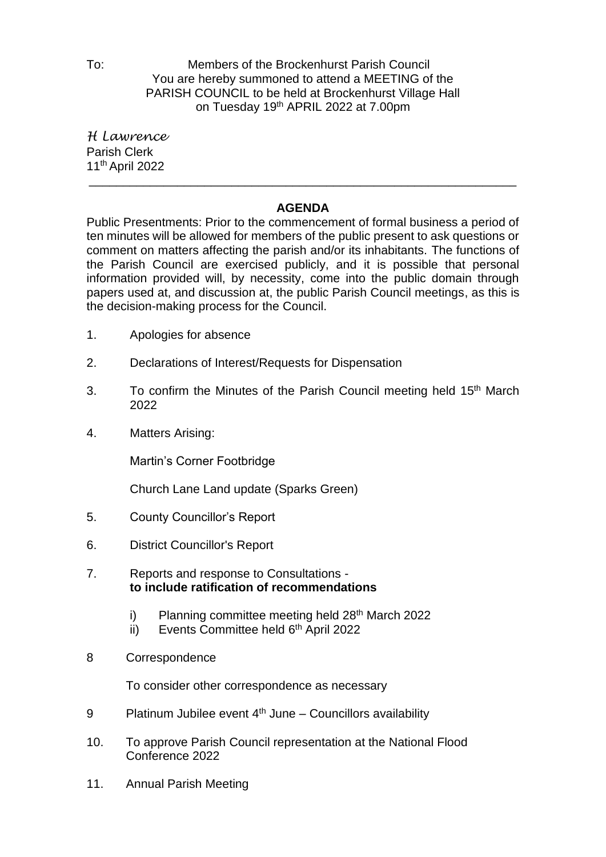To: Members of the Brockenhurst Parish Council You are hereby summoned to attend a MEETING of the PARISH COUNCIL to be held at Brockenhurst Village Hall on Tuesday 19<sup>th</sup> APRIL 2022 at 7.00pm

*H Lawrence* Parish Clerk 11th April 2022

## **AGENDA**

\_\_\_\_\_\_\_\_\_\_\_\_\_\_\_\_\_\_\_\_\_\_\_\_\_\_\_\_\_\_\_\_\_\_\_\_\_\_\_\_\_\_\_\_\_\_\_\_\_\_\_\_\_\_\_\_\_\_\_\_\_\_\_

Public Presentments: Prior to the commencement of formal business a period of ten minutes will be allowed for members of the public present to ask questions or comment on matters affecting the parish and/or its inhabitants. The functions of the Parish Council are exercised publicly, and it is possible that personal information provided will, by necessity, come into the public domain through papers used at, and discussion at, the public Parish Council meetings, as this is the decision-making process for the Council.

- 1. Apologies for absence
- 2. Declarations of Interest/Requests for Dispensation
- 3. To confirm the Minutes of the Parish Council meeting held 15<sup>th</sup> March 2022
- 4. Matters Arising:

Martin's Corner Footbridge

Church Lane Land update (Sparks Green)

- 5. County Councillor's Report
- 6. District Councillor's Report
- 7. Reports and response to Consultations **to include ratification of recommendations**
	- i) Planning committee meeting held 28<sup>th</sup> March 2022
	- ii) Events Committee held 6<sup>th</sup> April 2022
- 8 Correspondence

To consider other correspondence as necessary

- 9 Platinum Jubilee event  $4<sup>th</sup>$  June Councillors availability
- 10. To approve Parish Council representation at the National Flood Conference 2022
- 11. Annual Parish Meeting